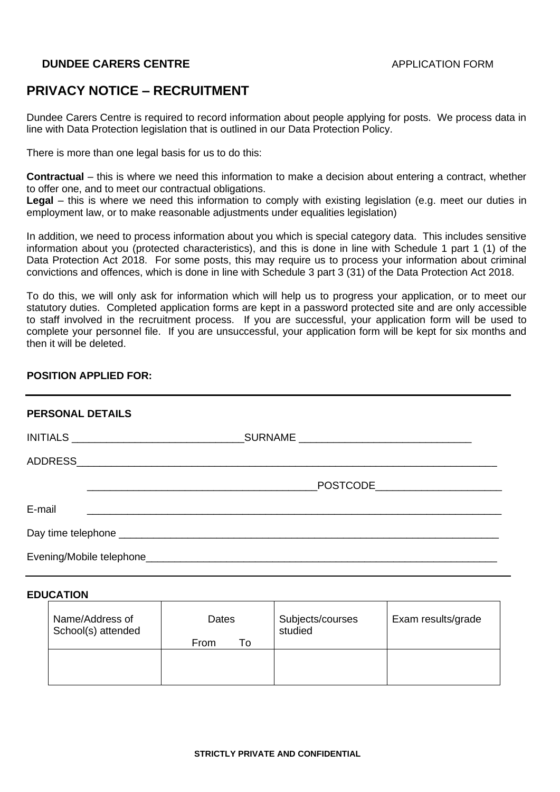# **PRIVACY NOTICE – RECRUITMENT**

Dundee Carers Centre is required to record information about people applying for posts. We process data in line with Data Protection legislation that is outlined in our Data Protection Policy.

There is more than one legal basis for us to do this:

**Contractual** – this is where we need this information to make a decision about entering a contract, whether to offer one, and to meet our contractual obligations.

**Legal** – this is where we need this information to comply with existing legislation (e.g. meet our duties in employment law, or to make reasonable adjustments under equalities legislation)

In addition, we need to process information about you which is special category data. This includes sensitive information about you (protected characteristics), and this is done in line with Schedule 1 part 1 (1) of the Data Protection Act 2018. For some posts, this may require us to process your information about criminal convictions and offences, which is done in line with Schedule 3 part 3 (31) of the Data Protection Act 2018.

To do this, we will only ask for information which will help us to progress your application, or to meet our statutory duties. Completed application forms are kept in a password protected site and are only accessible to staff involved in the recruitment process. If you are successful, your application form will be used to complete your personnel file. If you are unsuccessful, your application form will be kept for six months and then it will be deleted.

## **POSITION APPLIED FOR:**

| <b>PERSONAL DETAILS</b>                                     |                                    |
|-------------------------------------------------------------|------------------------------------|
|                                                             |                                    |
|                                                             |                                    |
|                                                             | _POSTCODE_________________________ |
| E-mail<br><u> 1980 - Jan James James Sandarík (f. 1980)</u> |                                    |
|                                                             |                                    |
|                                                             |                                    |

### **EDUCATION**

| Name/Address of<br>School(s) attended | Dates      | Subjects/courses<br>studied | Exam results/grade |
|---------------------------------------|------------|-----------------------------|--------------------|
|                                       | To<br>From |                             |                    |
|                                       |            |                             |                    |
|                                       |            |                             |                    |
|                                       |            |                             |                    |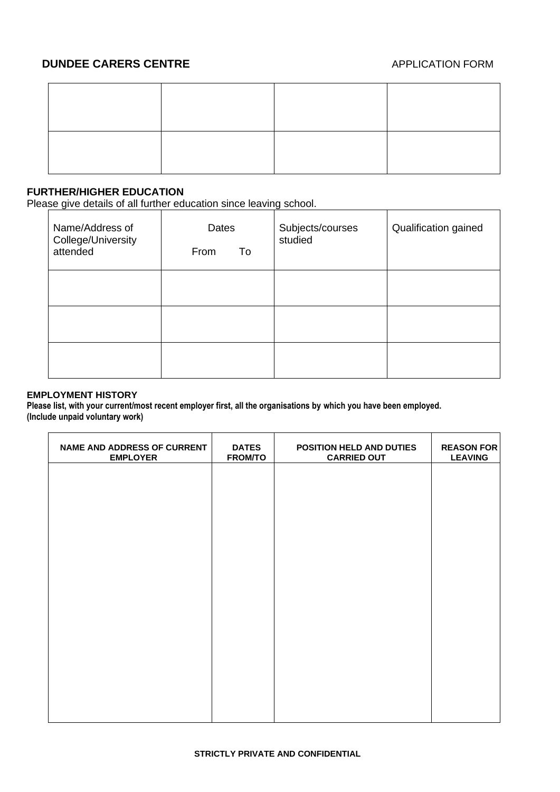# **FURTHER/HIGHER EDUCATION**

Please give details of all further education since leaving school.

| Name/Address of<br>College/University<br>attended | Dates<br>From<br>To | Subjects/courses<br>studied | Qualification gained |
|---------------------------------------------------|---------------------|-----------------------------|----------------------|
|                                                   |                     |                             |                      |
|                                                   |                     |                             |                      |
|                                                   |                     |                             |                      |

### **EMPLOYMENT HISTORY**

**Please list, with your current/most recent employer first, all the organisations by which you have been employed. (Include unpaid voluntary work)**

| <b>NAME AND ADDRESS OF CURRENT</b><br><b>EMPLOYER</b> | <b>DATES</b><br><b>FROM/TO</b> | POSITION HELD AND DUTIES<br><b>CARRIED OUT</b> | <b>REASON FOR</b><br><b>LEAVING</b> |
|-------------------------------------------------------|--------------------------------|------------------------------------------------|-------------------------------------|
|                                                       |                                |                                                |                                     |
|                                                       |                                |                                                |                                     |
|                                                       |                                |                                                |                                     |
|                                                       |                                |                                                |                                     |
|                                                       |                                |                                                |                                     |
|                                                       |                                |                                                |                                     |
|                                                       |                                |                                                |                                     |
|                                                       |                                |                                                |                                     |
|                                                       |                                |                                                |                                     |
|                                                       |                                |                                                |                                     |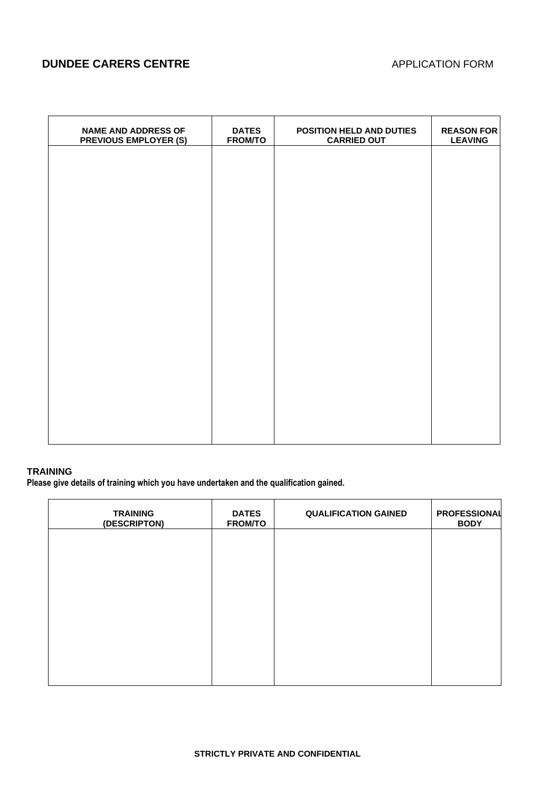| <b>NAME AND ADDRESS OF</b><br><b>PREVIOUS EMPLOYER (S)</b> | <b>DATES</b><br><b>FROM/TO</b> | POSITION HELD AND DUTIES<br><b>CARRIED OUT</b> | <b>REASON FOR</b><br><b>LEAVING</b> |
|------------------------------------------------------------|--------------------------------|------------------------------------------------|-------------------------------------|
|                                                            |                                |                                                |                                     |
|                                                            |                                |                                                |                                     |
|                                                            |                                |                                                |                                     |
|                                                            |                                |                                                |                                     |
|                                                            |                                |                                                |                                     |
|                                                            |                                |                                                |                                     |
|                                                            |                                |                                                |                                     |
|                                                            |                                |                                                |                                     |
|                                                            |                                |                                                |                                     |
|                                                            |                                |                                                |                                     |
|                                                            |                                |                                                |                                     |

## **TRAINING**

**Please give details of training which you have undertaken and the qualification gained.**

| <b>TRAINING</b><br>(DESCRIPTON) | <b>DATES</b><br><b>FROM/TO</b> | <b>QUALIFICATION GAINED</b> | <b>PROFESSIONAL</b><br><b>BODY</b> |
|---------------------------------|--------------------------------|-----------------------------|------------------------------------|
|                                 |                                |                             |                                    |
|                                 |                                |                             |                                    |
|                                 |                                |                             |                                    |
|                                 |                                |                             |                                    |
|                                 |                                |                             |                                    |
|                                 |                                |                             |                                    |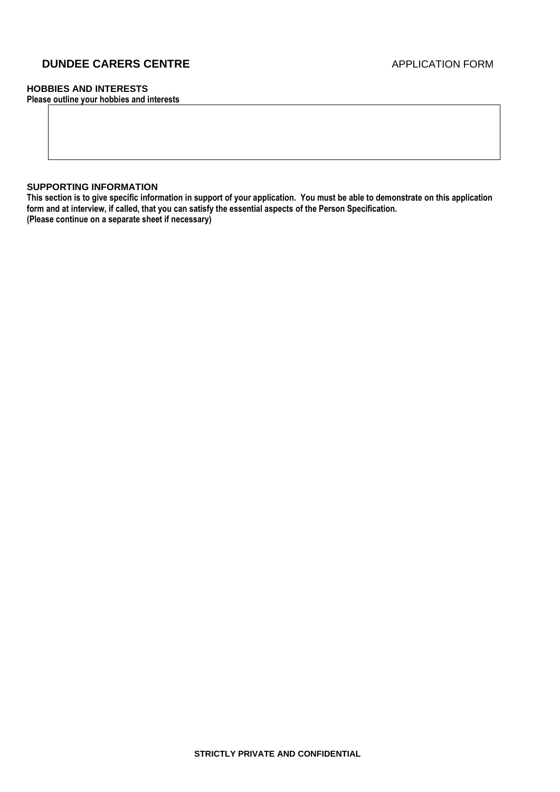## **HOBBIES AND INTERESTS**

**Please outline your hobbies and interests**

#### **SUPPORTING INFORMATION**

**This section is to give specific information in support of your application. You must be able to demonstrate on this application form and at interview, if called, that you can satisfy the essential aspects of the Person Specification. (Please continue on a separate sheet if necessary)**